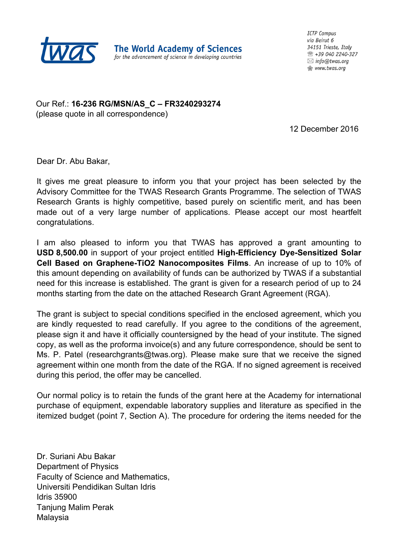

The World Academy of Sciences for the advancement of science in developing countries **ICTP Campus** via Beirut 6 34151 Trieste. Italy ☎ +39 040 2240-327  $\boxtimes$  info@twas.org **Mww.twas.org** 

Our Ref.: **16-236 RG/MSN/AS\_C – FR3240293274** (please quote in all correspondence)

12 December 2016

Dear Dr. Abu Bakar,

It gives me great pleasure to inform you that your project has been selected by the Advisory Committee for the TWAS Research Grants Programme. The selection of TWAS Research Grants is highly competitive, based purely on scientific merit, and has been made out of a very large number of applications. Please accept our most heartfelt congratulations.

I am also pleased to inform you that TWAS has approved a grant amounting to **USD 8,500.00** in support of your project entitled **High-Efficiency Dye-Sensitized Solar Cell Based on Graphene-TiO2 Nanocomposites Films**. An increase of up to 10% of this amount depending on availability of funds can be authorized by TWAS if a substantial need for this increase is established. The grant is given for a research period of up to 24 months starting from the date on the attached Research Grant Agreement (RGA).

The grant is subject to special conditions specified in the enclosed agreement, which you are kindly requested to read carefully. If you agree to the conditions of the agreement, please sign it and have it officially countersigned by the head of your institute. The signed copy, as well as the proforma invoice(s) and any future correspondence, should be sent to Ms. P. Patel (researchgrants@twas.org). Please make sure that we receive the signed agreement within one month from the date of the RGA. If no signed agreement is received during this period, the offer may be cancelled.

Our normal policy is to retain the funds of the grant here at the Academy for international purchase of equipment, expendable laboratory supplies and literature as specified in the itemized budget (point 7, Section A). The procedure for ordering the items needed for the

Dr. Suriani Abu Bakar Department of Physics Faculty of Science and Mathematics, Universiti Pendidikan Sultan Idris Idris 35900 Tanjung Malim Perak Malaysia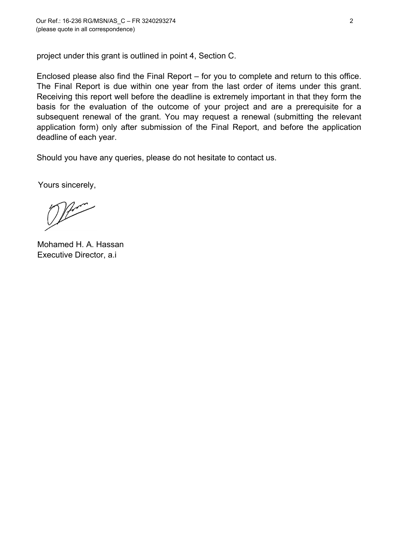project under this grant is outlined in point 4, Section C.

Enclosed please also find the Final Report – for you to complete and return to this office. The Final Report is due within one year from the last order of items under this grant. Receiving this report well before the deadline is extremely important in that they form the basis for the evaluation of the outcome of your project and are a prerequisite for a subsequent renewal of the grant. You may request a renewal (submitting the relevant application form) only after submission of the Final Report, and before the application deadline of each year.

Should you have any queries, please do not hesitate to contact us.

Yours sincerely,

Marco

Mohamed H. A. Hassan Executive Director, a.i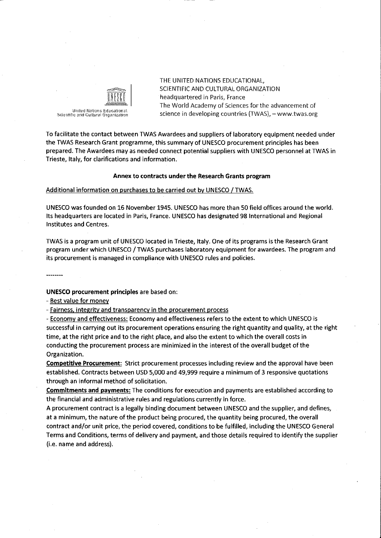

THE UNITED NATIONS EDUCATIONAL, SCIENTIFIC AND CULTURAL ORGANIZATION headquartered in Paris, France The World Academy of Sciences for the advancement of science in developing countries (TWAS), - www.twas.org

To facilitate the contact between TWAS Awardees and suppliers of laboratory equipment needed under the TWAS Research Grant programme, this summary of UNESCO procurement principles has been prepared. The Awardees may as needed connect potential suppliers with UNESCO personnel at TWAS in Trieste, Italy, for clarifications and information.

# Annex to contracts under the Research Grants program

# Additional information on purchases to be carried out by UNESCO / TWAS.

UNESCO was founded on 16 November 1945. UNESCO has more than 50 field offices around the world. Its headquarters are located in Paris, France. UNESCO has designated 98 International and Regional Institutes and Centres.

TWAS is a program unit of UNESCO located in Trieste, Italy. One of its programs is the Research Grant program under which UNESCO / TWAS purchases laboratory equipment for awardees. The program and its procurement is managed in compliance with UNESCO rules and policies.

**UNESCO procurement principles are based on:** 

- Best value for money

- Fairness, integrity and transparency in the procurement process

- Economy and effectiveness: Economy and effectiveness refers to the extent to which UNESCO is successful in carrying out its procurement operations ensuring the right quantity and quality, at the right time, at the right price and to the right place, and also the extent to which the overall costs in conducting the procurement process are minimized in the interest of the overall budget of the Organization.

**Competitive Procurement:** Strict procurement processes including review and the approval have been established. Contracts between USD 5,000 and 49,999 require a minimum of 3 responsive quotations through an informal method of solicitation.

**Commitments and payments:** The conditions for execution and payments are established according to the financial and administrative rules and regulations currently in force.

A procurement contract is a legally binding document between UNESCO and the supplier, and defines, at a minimum, the nature of the product being procured, the quantity being procured, the overall contract and/or unit price, the period covered, conditions to be fulfilled, including the UNESCO General Terms and Conditions, terms of delivery and payment, and those details required to identify the supplier (i.e. name and address).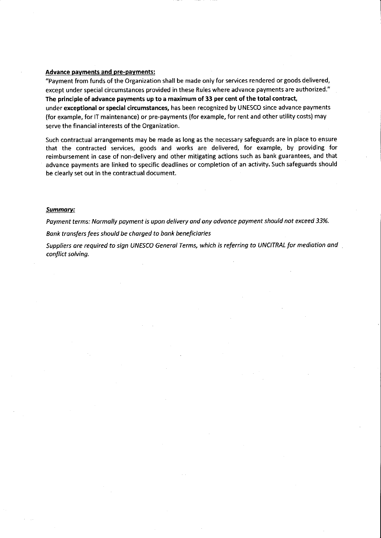# **Advance payments and pre-payments:**

"Payment from funds of the Organization shall be made only for services rendered or goods delivered, except under special circumstances provided in these Rules where advance payments are authorized." The principle of advance payments up to a maximum of 33 per cent of the total contract, under exceptional or special circumstances, has been recognized by UNESCO since advance payments (for example, for IT maintenance) or pre-payments (for example, for rent and other utility costs) may serve the financial interests of the Organization.

Such contractual arrangements may be made as long as the necessary safeguards are in place to ensure that the contracted services, goods and works are delivered, for example, by providing for reimbursement in case of non-delivery and other mitigating actions such as bank guarantees, and that advance payments are linked to specific deadlines or completion of an activity. Such safeguards should be clearly set out in the contractual document.

# **Summary:**

Payment terms: Normally payment is upon delivery and any advance payment should not exceed 33%.

Bank transfers fees should be charged to bank beneficiaries

Suppliers are required to sign UNESCO General Terms, which is referring to UNCITRAL for mediation and conflict solving.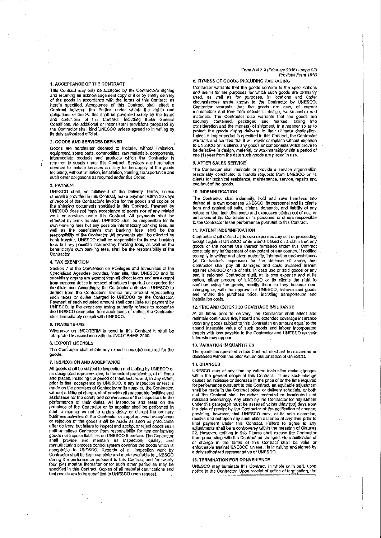#### 1. ACCEPTANCE OF THE CONTRACT

This Contract may only be accepted by the Contractor's signing and returning an acknowledgement copy of it or by timely delivery of the goods in accordance with the terms of this Contract, as herein specified. Acceptance of this Contract shall effect a Contract between the Parties under which the rights and obligations of the Parties shall be governed solely by the terms and conditions of this Contract, including these General Conditions. No additional or inconsistent provisions proposed by the Contractor shall bind UNESCO unless agreed to in writing by Its duly authorized official

#### 2. GOODS AND SERVICES DEFINED

Goods are hereinafter deemed to Include, without limitation,<br>equipment, spare parts, commodities, raw materials, components,<br>intermediate products and products which the Contractor is<br>required to supply under this Contract such other obligations as required under this Order.

# 3. PAYMENT

UNESCO shall, on fulfillment of the Delivery Terms, unless<br>otherwise provided in this Contract, make payment within 30 days of receipt of the Contractor's invoice for the goods and cooles of the shipping documents specified in this Contract. Payment by UNESCO does not imply acceptance of goods nor of any related<br>work or services under this Contract. All payments shall be<br>effected by bank transfer. UNESCO shall be responsible for its own banking fees but any possible intermediary banking fees, as<br>well as the beneficiary's own banking fees, shall be the<br>responsibility of the Contractor. All payments shall be effected by bank transfer. UNESCO shall be responsible for its own banking<br>fees but any possible intermediary banking fees, as well as the<br>beneficiary's own banking fees, shall be the responsibility of the Contractor

#### 4. TAX EXEMPTION

Section 7 of the Convention on Privileges and Immunities of the<br>Specialized Agencies provides, inter alla, that UNESCO and its<br>subsidiary organs are exempt from all direct taxes and are exempt structure transmitter in the contractor at the state and are exempted of expected for expected for expected for expected for expected for expected for expected for expected for expected for expected for expected for expect UNESCO. In the event any taxing authority refuses to recognize<br>the UNESCO exemplion from such taxes or duties, the Contrador<br>shall immediately consult with UNESCO.

#### **5. TRADE TERMS**

Whenever an INCOTERM is used in this Contract it shall be Interpreted in accordance with the INCOTERMS 2000.

#### **6. EXPORT LICENSES**

The Contractor shall obtain any export license(s) required for the goods

## 7. INSPECTION AND ACCEPTANCE

All goods shall be subject to inspection and testing by UNESCO or Fit is designated representative, to the extent practicable, at all times<br>and places, including the period of manufacture and, in any event,<br>and places, including the period of manufacture and, in any event,<br>prior to final essistance for the safety and convenience of the inspectors in the performance of their duties. All inspection and tests on the premises of the Contractor or its supplier shall be performed in such a manner as not to unduly delay or disrupt the ordinary<br>business activities of the Contractor or supplier. Final acceptance<br>or rejection of the goods shall be made as soon as practicable after delivery, but failure to inspect and accept or reject goods shall neither relieve Contractor from responsibility for non-conforming<br>goods nor impose liabilities on UNESCO therefore. The Contractor shall provide and maintain an inspection, quality, and<br>manufacturing process control system covering the goods which is<br>acceptable to UNESCO. Records of all inspection work by Contractor shall be kept complete and made available to UNESCO during the performance pursuant to this Contract and for twenty four (24) months thereafter or for such other period as may be specified in this Contract. Copies of all material certifications and<br>test results are to be submitted to UNESCO upon request.

#### Form AM 7-3 (February 2015) - page 2/3 Previous Form 181B

# 8. FITNESS OF GOODS INCLUDING PACKAGING

Contractor warrants that the goods conform to the specifications solution of the purposes for which such goods are ordinarily<br>used, as well as for purposes, in locations and under<br>circumstances made known to the Contractor by UNESCO.<br>Contractor warnants that the goods are new, of curren materials. The Contractor also warrants that the goods are securely contained, packaged and marked, taking into<br>consideration and the mode(s) of shipment, in a manner so as to<br>profect the goods during delivery to their ultimate destination.<br>Unless a longer period is specified in t to UNESCO or its clients any goods or components which prove to to defective in design, material, or workmanship within a period of one (1) year from the date such goods are placed in use.

#### 9. APTER SALES SERVICE

The Contractor shall maintain or provide a service organization<br>reasonably constituted to handle requests from UNESCO or its clients for technical assistance, maintenance, service, repairs and overhaul of the goods

## 10. INDEMNIFICATION

The Contractor shall indemnify, hold and save harmless and<br>defend at its own expenses UNESCO, its personnel and its clients from and against all suits, claims, demands, and liability of any nature or kind, including costs and expresses arising out of acts or emissions of the Contractor or its personnel or others responsible to the Contractor in the performance pursuant to this Contract.

## 11. PATENT INDEMNIFICATION

Contractor shall defend at its own expenses any suit or proceeding brought against UNESCO or its clients based on a claim that any<br>goods or the normal use thereof furnished under this Contract constitute any infringement of any patent of any country, if notified promptly in writing and given authority, information and assistance<br>(at Contractor's expenses) for the defense of same, and contractor shall pay all damages and costs awarded therein<br>against UNESCO or its clients. In case use of said goods or any<br>part is enjoined, Contractor shall, at its own expense and at its option, either procure of UNESCO or its clients the right to continue using the goods, modify them so they become non-<br>infringing or, with the approval of UNESCO, remove said goods<br>and refund the purchase price, including transportation and installation costs.

#### 12. FIRE AND EXTENDED COVERAGE INSURANCE

At all times prior to delivery, the Contractor shall effect and<br>maintain continuous fire, hazard and extended coverage insurance upon any goods subject to this Contract in an amount equal to the sound insurable value of such goods and labour incorporated<br>therein with loss payable to the Contractor and UNESCO as their Interests may appear.

#### 13. VARIATION IN QUANTITIES

The quantities specified in this Contract must not be exceeded or decreased without the prior written authorization of UNESCO.

#### 14. CHANGES

UNESCO may at any time by written instruction make changes<br>within the general scope of this Contract. If any such change<br>causes an increase or decrease in the price of or the time required for performance cursuant to this Contract, an equitable adjustment or parameters constant to una contract price, or delivery schedule, or both<br>and the Contract shall be either arrended or terminated and<br>relassed accordingly. Any claim by the Contractor for adjustment<br>under this paragraph the basic or recept to the LONESCO may, at its sole discretion,<br>providing, however, that UNESCO may, at its sole discretion,<br>receive and act upon any such claim assetted at any time prior to<br>final payment under this Contra or change in the terms of this Contract shall be valid or<br>enforceable against UNESCO unless it is in writing and signed by<br>a duly authorized representative of UNESCO.

## **16. TERMINATION FOR CONVENIENCE**

UNESCO may terminate this Contract, in whole or in part, upon notice to the Contractor. Upon receipt of notice of termination, the